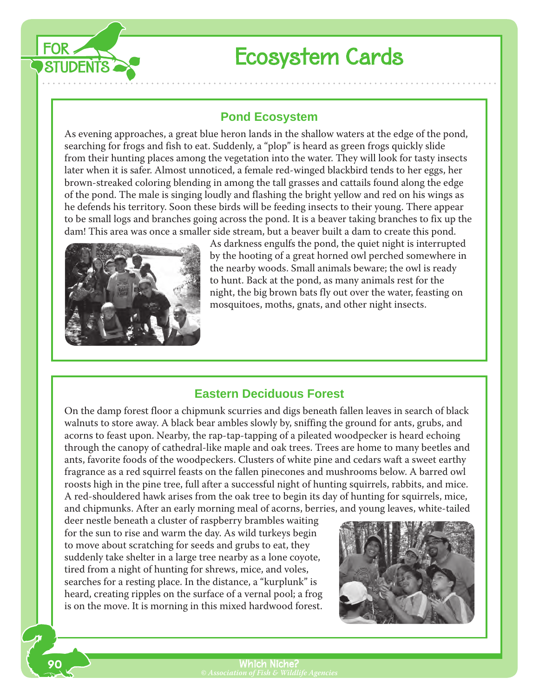

# Ecosystem Cards

## **Pond Ecosystem**

As evening approaches, a great blue heron lands in the shallow waters at the edge of the pond, searching for frogs and fish to eat. Suddenly, a "plop" is heard as green frogs quickly slide from their hunting places among the vegetation into the water. They will look for tasty insects later when it is safer. Almost unnoticed, a female red-winged blackbird tends to her eggs, her brown-streaked coloring blending in among the tall grasses and cattails found along the edge of the pond. The male is singing loudly and flashing the bright yellow and red on his wings as he defends his territory. Soon these birds will be feeding insects to their young. There appear to be small logs and branches going across the pond. It is a beaver taking branches to fix up the dam! This area was once a smaller side stream, but a beaver built a dam to create this pond.



As darkness engulfs the pond, the quiet night is interrupted by the hooting of a great horned owl perched somewhere in the nearby woods. Small animals beware; the owl is ready to hunt. Back at the pond, as many animals rest for the night, the big brown bats fly out over the water, feasting on mosquitoes, moths, gnats, and other night insects.

#### **Eastern Deciduous Forest**

On the damp forest floor a chipmunk scurries and digs beneath fallen leaves in search of black walnuts to store away. A black bear ambles slowly by, sniffing the ground for ants, grubs, and acorns to feast upon. Nearby, the rap-tap-tapping of a pileated woodpecker is heard echoing through the canopy of cathedral-like maple and oak trees. Trees are home to many beetles and ants, favorite foods of the woodpeckers. Clusters of white pine and cedars waft a sweet earthy fragrance as a red squirrel feasts on the fallen pinecones and mushrooms below. A barred owl roosts high in the pine tree, full after a successful night of hunting squirrels, rabbits, and mice. A red-shouldered hawk arises from the oak tree to begin its day of hunting for squirrels, mice, and chipmunks. After an early morning meal of acorns, berries, and young leaves, white-tailed

deer nestle beneath a cluster of raspberry brambles waiting for the sun to rise and warm the day. As wild turkeys begin to move about scratching for seeds and grubs to eat, they suddenly take shelter in a large tree nearby as a lone coyote, tired from a night of hunting for shrews, mice, and voles, searches for a resting place. In the distance, a "kurplunk" is heard, creating ripples on the surface of a vernal pool; a frog is on the move. It is morning in this mixed hardwood forest.